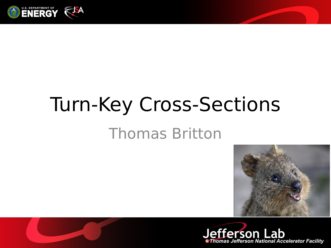

# Turn-Key Cross-Sections

#### Thomas Britton





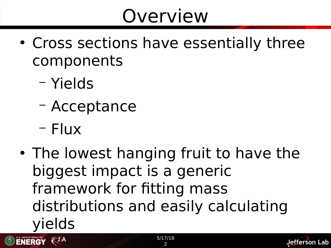### Overview

- Cross sections have essentially three components
	- Yields
	- Acceptance
	- Flux

**ENERGY REALLY** 

• The lowest hanging fruit to have the biggest impact is a generic framework for fitting mass distributions and easily calculating yields

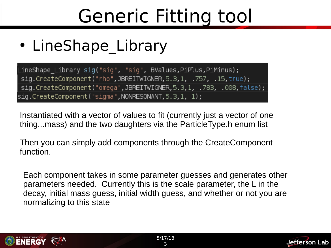### Generic Fitting tool

• LineShape Library

LineShape Library sig("sig", "sig", BValues,PiPlus,PiMinus); sig.CreateComponent("rho",JBREITWIGNER, 5.3, 1, .757, .15, true); sig.CreateComponent("omega",JBREITWIGNER,5.3,1, .783, .008,false); sig.CreateComponent("sigma",NONRESONANT,5.3,1, 1);

Instantiated with a vector of values to fit (currently just a vector of one thing...mass) and the two daughters via the ParticleType.h enum list

Then you can simply add components through the CreateComponent function.

Each component takes in some parameter guesses and generates other parameters needed. Currently this is the scale parameter, the L in the decay, initial mass guess, initial width guess, and whether or not you are normalizing to this state



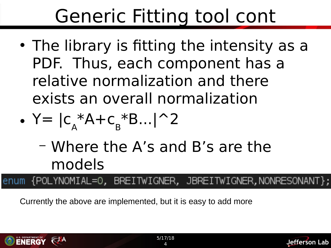## Generic Fitting tool cont

• The library is fitting the intensity as a PDF. Thus, each component has a relative normalization and there exists an overall normalization

$$
\bullet \ \mathsf{Y} = |c_{A}^* A + c_{B}^* B \dots | \, ^2 2
$$

– Where the A's and B's are the models

enum {POLYNOMIAL=0, BREITWIGNER, JBREITWIGNER,NONRESONANT};

Currently the above are implemented, but it is easy to add more



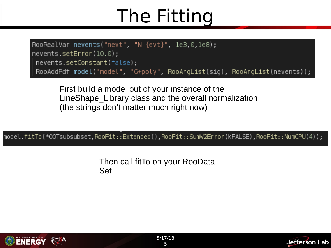#### The Fitting

RooRealVar nevents("nevt", "N  $\{$ evt $\}$ ", 1e3,0,1e8); nevents.setError(10.0); nevents.setConstant(false); RooAddPdf model("model", "G+poly", RooArgList(sig), RooArgList(nevents));

First build a model out of your instance of the LineShape\_Library class and the overall normalization (the strings don't matter much right now)

model.fitTo(\*OOTsubsubset,RooFit::Extended(),RooFit::SumW2Error(kFALSE),RooFit::NumCPU(4));

Then call fitTo on your RooData Set



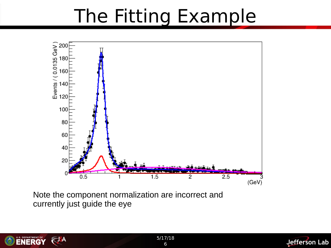#### The Fitting Example



Note the component normalization are incorrect and currently just guide the eye



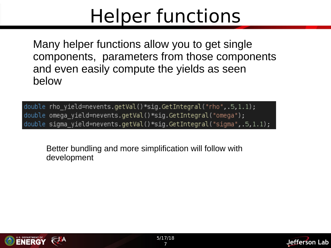#### Helper functions

Many helper functions allow you to get single components, parameters from those components and even easily compute the yields as seen below

double rho\_yield=nevents.getVal()\*sig.GetIntegral("rho",.5,1.1); double omega\_yield=nevents.getVal()\*sig.GetIntegral("omega"); double sigma\_yield=nevents.getVal()\*sig.GetIntegral("sigma",.5,1.1);

Better bundling and more simplification will follow with development



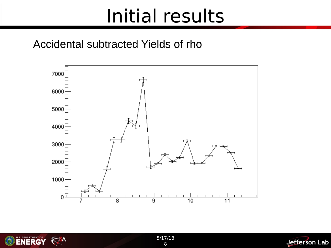#### Initial results

#### Accidental subtracted Yields of rho





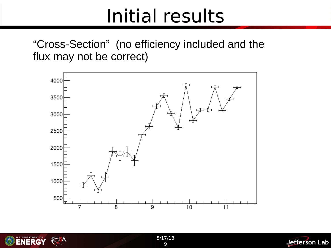#### Initial results

"Cross-Section" (no efficiency included and the flux may not be correct)